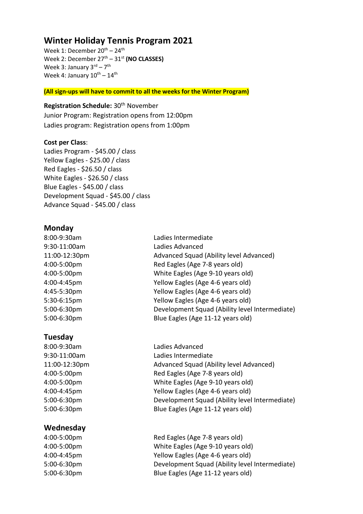# **Winter Holiday Tennis Program 2021**

Week 1: December  $20^{th}$  –  $24^{th}$ Week 2: December 27<sup>th</sup> – 31<sup>st</sup> (NO CLASSES) Week 3: January 3rd - 7<sup>th</sup> Week 4: January  $10^{\text{th}} - 14^{\text{th}}$ 

**(All sign-ups will have to commit to all the weeks for the Winter Program)**

# **Registration Schedule: 30<sup>th</sup> November**

Junior Program: Registration opens from 12:00pm Ladies program: Registration opens from 1:00pm

#### **Cost per Class**:

Ladies Program - \$45.00 / class Yellow Eagles - \$25.00 / class Red Eagles - \$26.50 / class White Eagles - \$26.50 / class Blue Eagles - \$45.00 / class Development Squad - \$45.00 / class Advance Squad - \$45.00 / class

### **Monday**

| 8:00-9:30am   | Ladies Intermediate                            |
|---------------|------------------------------------------------|
| 9:30-11:00am  | Ladies Advanced                                |
| 11:00-12:30pm | Advanced Squad (Ability level Advanced)        |
| 4:00-5:00pm   | Red Eagles (Age 7-8 years old)                 |
| 4:00-5:00pm   | White Eagles (Age 9-10 years old)              |
| 4:00-4:45pm   | Yellow Eagles (Age 4-6 years old)              |
| 4:45-5:30pm   | Yellow Eagles (Age 4-6 years old)              |
| 5:30-6:15pm   | Yellow Eagles (Age 4-6 years old)              |
| 5:00-6:30pm   | Development Squad (Ability level Intermediate) |
| 5:00-6:30pm   | Blue Eagles (Age 11-12 years old)              |
|               |                                                |

# **Tuesday**

# **Wednesday**

8:00-9:30am Ladies Advanced 9:30-11:00am Ladies Intermediate 11:00-12:30pm Advanced Squad (Ability level Advanced) 4:00-5:00pm Red Eagles (Age 7-8 years old) 4:00-5:00pm White Eagles (Age 9-10 years old) 4:00-4:45pm Yellow Eagles (Age 4-6 years old) 5:00-6:30pm Development Squad (Ability level Intermediate) 5:00-6:30pm Blue Eagles (Age 11-12 years old)

4:00-5:00pm Red Eagles (Age 7-8 years old) 4:00-5:00pm White Eagles (Age 9-10 years old) 4:00-4:45pm Yellow Eagles (Age 4-6 years old) 5:00-6:30pm Development Squad (Ability level Intermediate) 5:00-6:30pm Blue Eagles (Age 11-12 years old)